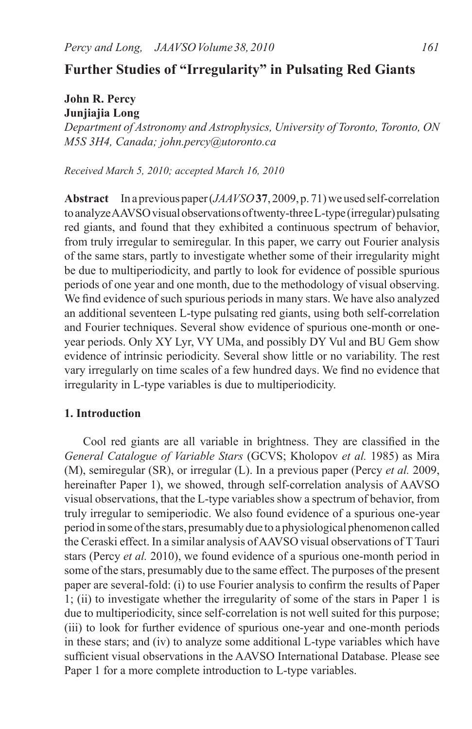# **Further Studies of "Irregularity" in Pulsating Red Giants**

## **John R. Percy Junjiajia Long**

*Department of Astronomy and Astrophysics, University of Toronto, Toronto, ON M5S 3H4, Canada; john.percy@utoronto.ca*

*Received March 5, 2010; accepted March 16, 2010*

**Abstract** Inapreviouspaper(*JAAVSO***37**, 2009,p.71)we usedself-correlation toanalyzeAAVSOvisualobservationsoftwenty-threeL-type (irregular)pulsating red giants, and found that they exhibited a continuous spectrum of behavior, from truly irregular to semiregular. In this paper, we carry out Fourier analysis of the same stars, partly to investigate whether some of their irregularity might be due to multiperiodicity, and partly to look for evidence of possible spurious periods of one year and one month, due to the methodology of visual observing. We find evidence of such spurious periods in many stars. We have also analyzed an additional seventeen L-type pulsating red giants, using both self-correlation and Fourier techniques. Several show evidence of spurious one-month or oneyear periods. Only XY Lyr, VY UMa, and possibly DY Vul and BU Gem show evidence of intrinsic periodicity. Several show little or no variability. The rest vary irregularly on time scales of a few hundred days. We find no evidence that irregularity in L-type variables is due to multiperiodicity.

# **1. Introduction**

Cool red giants are all variable in brightness. They are classified in the *General Catalogue of Variable Stars* (GCVS; Kholopov *et al.* 1985) as Mira (M), semiregular (SR), or irregular (L). In a previous paper (Percy *et al.* 2009, hereinafter Paper 1), we showed, through self-correlation analysis of AAVSO visual observations, that the L-type variables show a spectrum of behavior, from truly irregular to semiperiodic. We also found evidence of a spurious one-year period in some ofthe stars, presumably due to a physiological phenomenon called the Ceraski effect. In a similar analysis ofAAVSO visual observations of TTauri stars (Percy *et al.* 2010), we found evidence of a spurious one-month period in some of the stars, presumably due to the same effect. The purposes of the present paper are several-fold: (i) to use Fourier analysis to confirm the results of Paper 1; (ii) to investigate whether the irregularity of some of the stars in Paper 1 is due to multiperiodicity, since self-correlation is not well suited for this purpose; (iii) to look for further evidence of spurious one-year and one-month periods in these stars; and (iv) to analyze some additional L-type variables which have sufficient visual observations in the AAVSO International Database. Please see Paper 1 for a more complete introduction to L-type variables.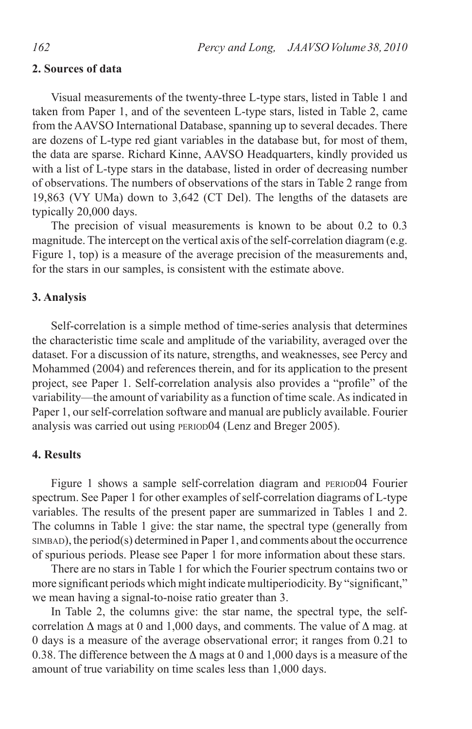## **2. Sources of data**

Visual measurements of the twenty-three L-type stars, listed in Table 1 and taken from Paper 1, and of the seventeen L-type stars, listed in Table 2, came from the AAVSO International Database, spanning up to several decades. There are dozens of L-type red giant variables in the database but, for most of them, the data are sparse. Richard Kinne, AAVSO Headquarters, kindly provided us with a list of L-type stars in the database, listed in order of decreasing number of observations. The numbers of observations of the stars in Table 2 range from 19,863 (VY UMa) down to 3,642 (CT Del). The lengths of the datasets are typically 20,000 days.

The precision of visual measurements is known to be about 0.2 to 0.3 magnitude. The intercept on the vertical axis of the self-correlation diagram (e.g. Figure 1, top) is a measure of the average precision of the measurements and, for the stars in our samples, is consistent with the estimate above.

#### **3. Analysis**

Self-correlation is a simple method of time-series analysis that determines the characteristic time scale and amplitude of the variability, averaged over the dataset. For a discussion of its nature, strengths, and weaknesses, see Percy and Mohammed (2004) and references therein, and for its application to the present project, see Paper 1. Self-correlation analysis also provides a "profile" of the variability—the amount of variability as a function of time scale. As indicated in Paper 1, our self-correlation software and manual are publicly available. Fourier analysis was carried out using period04 (Lenz and Breger 2005).

### **4. Results**

Figure 1 shows a sample self-correlation diagram and PERIOD04 Fourier spectrum. See Paper 1 for other examples of self-correlation diagrams of L-type variables. The results of the present paper are summarized in Tables 1 and 2. The columns in Table 1 give: the star name, the spectral type (generally from  $SIMBAD$ ), the period(s) determined in Paper 1, and comments about the occurrence of spurious periods. Please see Paper 1 for more information about these stars.

There are no stars in Table 1 for which the Fourier spectrum contains two or more significant periods which might indicate multiperiodicity. By "significant," we mean having a signal-to-noise ratio greater than 3.

In Table 2, the columns give: the star name, the spectral type, the selfcorrelation ∆ mags at 0 and 1,000 days, and comments. The value of ∆ mag. at 0 days is a measure of the average observational error; it ranges from 0.21 to 0.38. The difference between the ∆ mags at 0 and 1,000 days is a measure of the amount of true variability on time scales less than 1,000 days.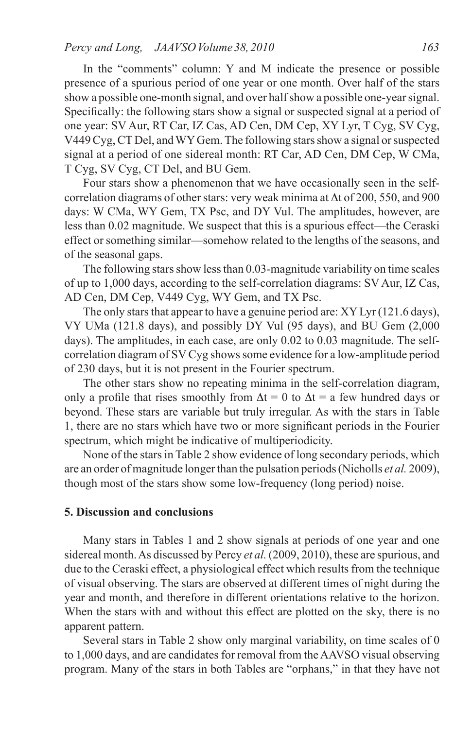In the "comments" column: Y and M indicate the presence or possible presence of a spurious period of one year or one month. Over half of the stars show a possible one-month signal, and over half show a possible one-year signal. Specifically: the following stars show a signal or suspected signal at a period of one year: SV Aur, RT Car, IZ Cas, AD Cen, DM Cep, XY Lyr, T Cyg, SV Cyg, V449 Cyg, CT Del, and WY Gem. The following stars show a signal or suspected signal at a period of one sidereal month: RT Car, AD Cen, DM Cep, W CMa, T Cyg, SV Cyg, CT Del, and BU Gem.

Four stars show a phenomenon that we have occasionally seen in the selfcorrelation diagrams of other stars: very weak minima at ∆t of 200, 550, and 900 days: W CMa, WY Gem, TX Psc, and DY Vul. The amplitudes, however, are less than 0.02 magnitude. We suspect that this is a spurious effect—the Ceraski effect or something similar—somehow related to the lengths of the seasons, and of the seasonal gaps.

The following stars show less than 0.03-magnitude variability on time scales of up to 1,000 days, according to the self-correlation diagrams: SV Aur, IZ Cas, AD Cen, DM Cep, V449 Cyg, WY Gem, and TX Psc.

The only stars that appear to have a genuine period are: XY Lyr (121.6 days), VY UMa (121.8 days), and possibly DY Vul (95 days), and BU Gem (2,000 days). The amplitudes, in each case, are only 0.02 to 0.03 magnitude. The selfcorrelation diagram of SV Cyg shows some evidence for a low-amplitude period of 230 days, but it is not present in the Fourier spectrum.

The other stars show no repeating minima in the self-correlation diagram, only a profile that rises smoothly from  $\Delta t = 0$  to  $\Delta t = a$  few hundred days or beyond. These stars are variable but truly irregular. As with the stars in Table 1, there are no stars which have two or more significant periods in the Fourier spectrum, which might be indicative of multiperiodicity.

None of the stars in Table 2 show evidence of long secondary periods, which are an order of magnitude longer than the pulsation periods (Nicholls *et al.* 2009), though most of the stars show some low-frequency (long period) noise.

## **5. Discussion and conclusions**

Many stars in Tables 1 and 2 show signals at periods of one year and one sidereal month.As discussed by Percy *et al.*(2009, 2010), these are spurious, and due to the Ceraski effect, a physiological effect which results from the technique of visual observing. The stars are observed at different times of night during the year and month, and therefore in different orientations relative to the horizon. When the stars with and without this effect are plotted on the sky, there is no apparent pattern.

Several stars in Table 2 show only marginal variability, on time scales of 0 to 1,000 days, and are candidates for removal from the AAVSO visual observing program. Many of the stars in both Tables are "orphans," in that they have not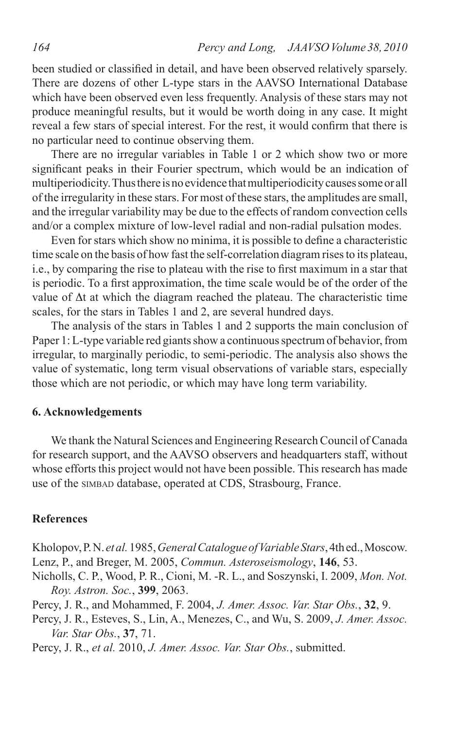been studied or classified in detail, and have been observed relatively sparsely. There are dozens of other L-type stars in the AAVSO International Database which have been observed even less frequently. Analysis of these stars may not produce meaningful results, but it would be worth doing in any case. It might reveal a few stars of special interest. For the rest, it would confirm that there is no particular need to continue observing them.

There are no irregular variables in Table 1 or 2 which show two or more significant peaks in their Fourier spectrum, which would be an indication of multiperiodicity. Thus there is no evidence that multiperiodicity causes some or all of the irregularity in these stars. For most of these stars, the amplitudes are small, and the irregular variability may be due to the effects of random convection cells and/or a complex mixture of low-level radial and non-radial pulsation modes.

Even for stars which show no minima, it is possible to define a characteristic time scale on the basis of how fast the self-correlation diagram risesto its plateau, i.e., by comparing the rise to plateau with the rise to first maximum in a star that is periodic. To a first approximation, the time scale would be of the order of the value of ∆t at which the diagram reached the plateau. The characteristic time scales, for the stars in Tables 1 and 2, are several hundred days.

The analysis of the stars in Tables 1 and 2 supports the main conclusion of Paper 1: L-type variable red giants show a continuous spectrum of behavior, from irregular, to marginally periodic, to semi-periodic. The analysis also shows the value of systematic, long term visual observations of variable stars, especially those which are not periodic, or which may have long term variability.

# **6. Acknowledgements**

We thank the Natural Sciences and Engineering Research Council of Canada for research support, and the AAVSO observers and headquarters staff, without whose efforts this project would not have been possible. This research has made use of the simbad database, operated at CDS, Strasbourg, France.

## **References**

Kholopov,P.N. *et al.*1985,*General Catalogue of Variable Stars*,4thed.,Moscow. Lenz, P., and Breger, M. 2005, *Commun. Asteroseismology*, **146**, 53.

- Nicholls, C. P., Wood, P. R., Cioni, M. -R. L., and Soszynski, I. 2009, *Mon. Not. Roy. Astron. Soc.*, **399**, 2063.
- Percy, J. R., and Mohammed, F. 2004, *J. Amer. Assoc. Var. Star Obs.*, **32**, 9.
- Percy, J. R., Esteves, S., Lin, A., Menezes, C., and Wu, S. 2009, *J. Amer. Assoc. Var. Star Obs.*, **37**, 71.
- Percy, J. R., *et al.* 2010, *J. Amer. Assoc. Var. Star Obs.*, submitted.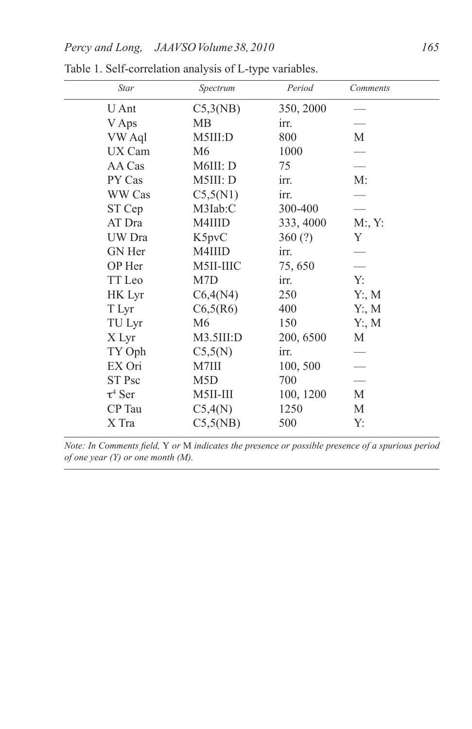| Star         | Spectrum         | Period    | Comments |
|--------------|------------------|-----------|----------|
| U Ant        | C5,3(NB)         | 350, 2000 |          |
| V Aps        | MВ               | irr.      |          |
| VW Aql       | M5III:D          | 800       | М        |
| UX Cam       | M <sub>6</sub>   | 1000      |          |
| AA Cas       | M6III: D         | 75        |          |
| PY Cas       | M5III: D         | irr.      | M:       |
| WW Cas       | C5,5(N1)         | irr.      |          |
| ST Cep       | M3Iab:C          | 300-400   |          |
| AT Dra       | M4IIID           | 333, 4000 | M:Y:     |
| UW Dra       | K5pvC            | 360(?)    | Y        |
| GN Her       | M4IIID           | irr.      |          |
| OP Her       | M5II-IIIC        | 75,650    |          |
| TT Leo       | M7D              | irr.      | Y:       |
| HK Lyr       | C6,4(N4)         | 250       | Y: M     |
| T Lyr        | C6,5(R6)         | 400       | Y: M     |
| TU Lyr       | M6               | 150       | Y: M     |
| X Lyr        | M3.5III:D        | 200, 6500 | М        |
| TY Oph       | C5,5(N)          | irr.      |          |
| EX Ori       | M7III            | 100, 500  |          |
| ST Psc       | M <sub>5</sub> D | 700       |          |
| $\tau^4$ Ser | M5II-III         | 100, 1200 | М        |
| CP Tau       | C5,4(N)          | 1250      | M        |
| X Tra        | C5,5(NB)         | 500       | Y:       |

Table 1. Self-correlation analysis of L-type variables.

*Note: In Comments field,* Y *or* M *indicates the presence or possible presence of a spurious period of one year (Y) or one month (M).*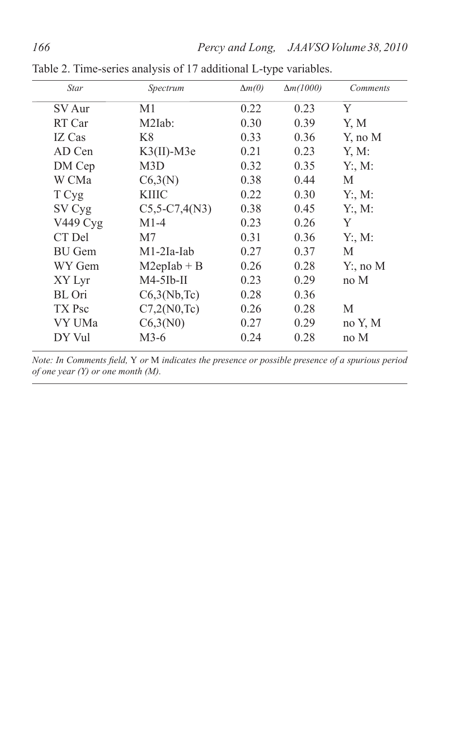| <b>Star</b>   | Spectrum          | $\Delta m(0)$ | $\Delta m(1000)$ | <i>Comments</i> |
|---------------|-------------------|---------------|------------------|-----------------|
| SV Aur        | M <sub>1</sub>    | 0.22          | 0.23             | Y               |
| RT Car        | $M2Iab$ :         | 0.30          | 0.39             | Y, M            |
| IZ Cas        | K <sup>8</sup>    | 0.33          | 0.36             | Y, no M         |
| AD Cen        | $K3(II)$ -M3e     | 0.21          | 0.23             | Y, M:           |
| DM Cep        | M3D               | 0.32          | 0.35             | Y: M:           |
| W CMa         | C6,3(N)           | 0.38          | 0.44             | М               |
| T Cyg         | KIIIC             | 0.22          | 0.30             | Y: M:           |
| SV Cyg        | $C5, 5-C7, 4(N3)$ | 0.38          | 0.45             | Y: M:           |
| V449 Cyg      | $M1-4$            | 0.23          | 0.26             | Y               |
| CT Del        | M7                | 0.31          | 0.36             | Y: M:           |
| <b>BU</b> Gem | $M1-2Ia-Iab$      | 0.27          | 0.37             | М               |
| WY Gem        | $M2eplab + B$     | 0.26          | 0.28             | $Y:$ , no M     |
| XY Lyr        | $M4-5$ Ib-II      | 0.23          | 0.29             | no M            |
| BL Ori        | C6,3(Nb,Te)       | 0.28          | 0.36             |                 |
| TX Psc        | C7,2(N0,Te)       | 0.26          | 0.28             | M               |
| VY UMa        | C6,3(N0)          | 0.27          | 0.29             | no Y, M         |
| DY Vul        | $M3-6$            | 0.24          | 0.28             | no M            |
|               |                   |               |                  |                 |

Table 2. Time-series analysis of 17 additional L-type variables.

*Note: In Comments field,* Y *or* M *indicates the presence or possible presence of a spurious period of one year (Y) or one month (M).*